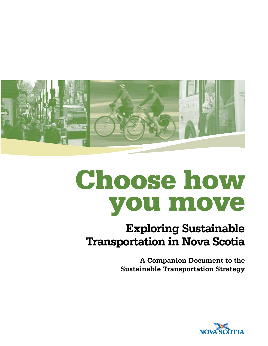

# Choose how you move

### **Exploring Sustainable Transportation in Nova Scotia**

**A Companion Document to the Sustainable Transportation Strategy**

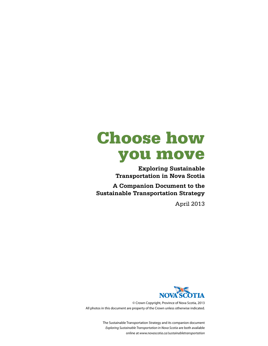## Choose how you move

**Exploring Sustainable Transportation in Nova Scotia**

**A Companion Document to the Sustainable Transportation Strategy**

April 2013



© Crown Copyright, Province of Nova Scotia, 2013 All photos in this document are property of the Crown unless otherwise indicated.

> The Sustainable Transportation Strategy and its companion document *Exploring Sustainable Transportation in Nova Scotia* are both available online at *www.novascotia.ca/sustainabletransportation*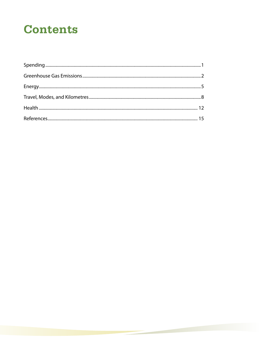### **Contents**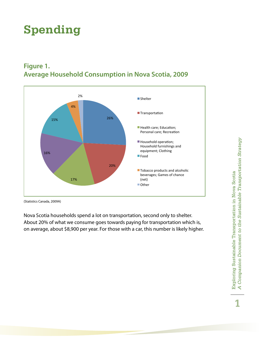### **Spending**



#### **Figure 1. Average Household Consumption in Nova Scotia, 2009**

(Statistics Canada, 2009A)

Nova Scotia households spend a lot on transportation, second only to shelter. About 20% of what we consume goes towards paying for transportation which is, on average, about \$8,900 per year. For those with a car, this number is likely higher.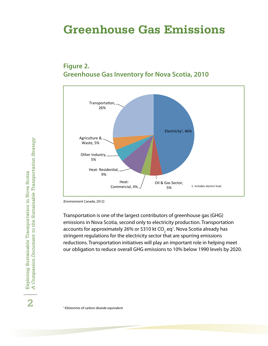### **Greenhouse Gas Emissions**

#### **Figure 2. Greenhouse Gas Inventory for Nova Scotia, 2010**



(Environment Canada, 2012)

Transportation is one of the largest contributors of greenhouse gas (GHG) emissions in Nova Scotia, second only to electricity production. Transportation accounts for approximately 26% or 5310 kt CO $_{\textrm{\tiny{2}}}$  eq<sup>1</sup>. Nova Scotia already has stringent regulations for the electricity sector that are spurring emissions reductions. Transportation initiatives will play an important role in helping meet our obligation to reduce overall GHG emissions to 10% below 1990 levels by 2020.  $\alpha$ ransportation is one or the largest contributors or greenhouse gas (Grig)

1 Kilotonnes of carbon dioxide equivalent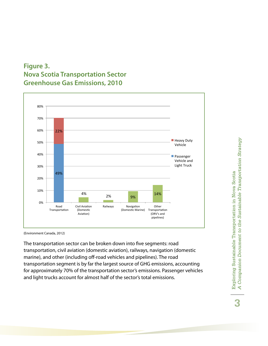#### **Figure 3. Nova Scotia Transportation Sector Greenhouse Gas Emissions, 2010**



(Environment Canada, 2012)  $\mathbf{v}$  into the broken  $\mathbf{v}$ 

The transportation sector can be broken down into five segments: road transportation, civil aviation (domestic aviation), railways, navigation (domestic marine), and other (including off-road vehicles and pipelines). The road transportation segment is by far the largest source of GHG emissions, accounting for approximately 70% of the transportation sector's emissions. Passenger vehicles and light trucks account for almost half of the sector's total emissions. transportation, civil aviation (domestic aviation), ranways, navigation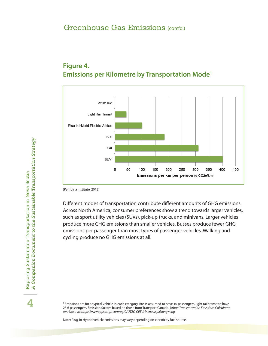#### **Figure 4. Emissions per Kilometre by Transportation Mode<sup>1</sup>**



(Pembina Institute, 2012)

Different modes of transportation contribute different amounts of GHG emissions. Across North America, consumer preferences show a trend towards larger vehicles, such as sport utility vehicles (SUVs), pick-up trucks, and minivans. Larger vehicles produce more GHG emissions than smaller vehicles. Busses produce fewer GHG emissions per passenger than most types of passenger vehicles. Walking and cycling produce no GHG emissions at all.<br><br><sup>1</sup> <sup>Emissions are for a typical vehicle in each category. <sup>Rus is</sup> ass</sup> Different modes of transportation contribute different amounts of GHG emissions.

<sup>1</sup> Emissions are for a typical vehicle in each category. Bus is assumed to have 10 passengers, light rail transit to have 23.6 passengers. Emission factors based on those from Transport Canada, *Urban Transportation Emissions Calculator*. Available at: *http://wwwapps.tc.gc.ca/prog/2/UTEC-CETU/Menu.aspx?lang=eng*

Note: Plug-in Hybrid vehicle emissions may vary depending on electricity fuel source.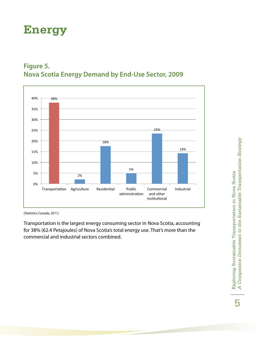### **Energy**





(Statistics Canada, 2011)

Transportation is the largest energy consuming sector in Nova Scotia, accounting for 38% (62.4 Petajoules) of Nova Scotia's total energy use. That's more than the commercial and industrial sectors combined. transportation is the largest energy consuming sector in iv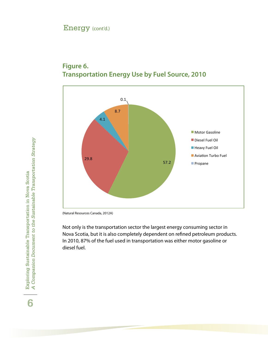#### Energy (cont'd.)



#### **Figure 6. Transportation Energy Use by Fuel Source, 2010 6 . Transportation Energy 
Use 
by 
Fuel 
Source, 
2010**

(Natural Resources Canada, 2012A)

Not only is the transportation sector the largest energy consuming sector in Nova Scotia, but it is also completely dependent on refined petroleum products. In 2010, 87% of the fuel used in transportation was either motor gasoline or diesel fuel.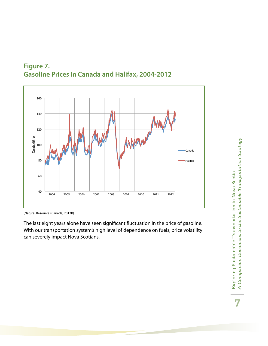



<sup>(</sup>Natural Resources Canada, 2012B)

The last eight years alone have seen significant fluctuation in the price of gasoline. With our transportation system's high level of dependence on fuels, price volatility can severely impact Nova Scotians.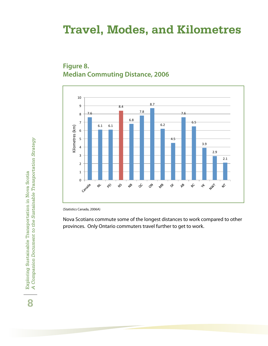### **Travel, Modes, and Kilometres**





(Statistics Canada, 2006A)

Nova Scotians commute some of the longest distances to work compared to other provinces. Only Ontario commuters travel further to get to work.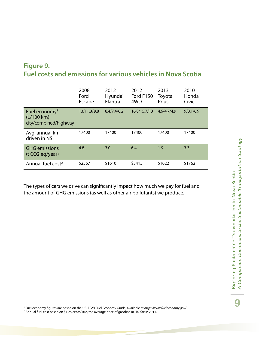#### **Figure 9. Fuel costs and emissions for various vehicles in Nova Scotia**

|                                                                  | 2008<br>Ford<br>Escape | 2012<br>Hyundai<br>Elantra | 2012<br>Ford F150<br>4WD | 2013<br>Toyota<br>Prius | 2010<br>Honda<br>Civic |
|------------------------------------------------------------------|------------------------|----------------------------|--------------------------|-------------------------|------------------------|
| Fuel economy <sup>1</sup><br>(L/100 km)<br>city/combined/highway | 13/11.8/9.8            | 8.4/7.4/6.2                | 16.8/15.7/13             | 4.6/4.7/4.9             | 9/8.1/6.9              |
| Avg. annual km<br>driven in NS                                   | 17400                  | 17400                      | 17400                    | 17400                   | 17400                  |
| <b>GHG</b> emissions<br>(t CO <sub>2</sub> eq/year)              | 4.8                    | 3.0                        | 6.4                      | 1.9                     | 3.3                    |
| Annual fuel cost <sup>2</sup>                                    | \$2567                 | \$1610                     | \$3415                   | \$1022                  | \$1762                 |

The types of cars we drive can significantly impact how much we pay for fuel and the amount of GHG emissions (as well as other air pollutants) we produce.

1 Fuel economy figures are based on the US. EPA's Fuel Economy Guide, available at *http://www.fueleconomy.gov/* 2 Annual fuel cost based on \$1.25 cents/litre, the average price of gasoline in Halifax in 2011.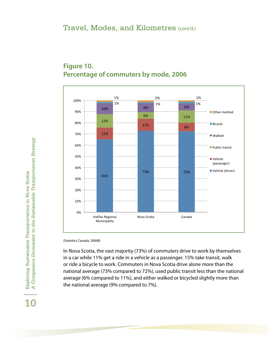

#### **Figure 10. Percentage of commuters by mode, 2006**

(Statistics Canada, 2006B)

In Nova Scotia, the vast majority (73%) of commuters drive to work by themselves in a car while 11% get a ride in a vehicle as a passenger. 15% take transit, walk or ride a bicycle to work. Commuters in Nova Scotia drive alone more than the national average (73% compared to 72%), used public transit less than the national average (6% compared to 11%), and either walked or bicycled slightly more than the national average (9% compared to 7%). in a car write TTM yet a nue in a venicle as a passenger. TSM take transit, waik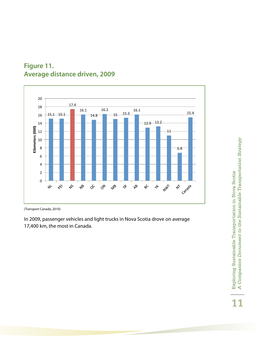

#### **Figure 11. Average distance driven, 2009**

(Transport Canada, 2010)

In 2009, passenger vehicles and light trucks in Nova Scotia drove on average 17,400 km, the most in Canada. Exploring Sustainable Transportation in Nova Scotia<br>A Companion Document to the Sustainable Transportation Strategy *A Companion Document to the Sustainable Transportation Strategy* Exploring Sustainable Transportation in Nova Scotia **11**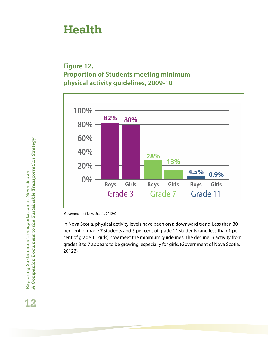### **Health**

#### **Figure 12. Proportion of Students meeting minimum Physical activity guidelines, 2009-10**



(Government of Nova Scotia, 2012A)

In Nova Scotia, physical activity levels have been on a downward trend. Less than 30 per cent of grade 7 students and 5 per cent of grade 11 students (and less than 1 per cent of grade 11 girls) now meet the minimum guidelines. The decline in activity from grades 3 to 7 appears to be growing, especially for girls. (Government of Nova Scotia, 2012B)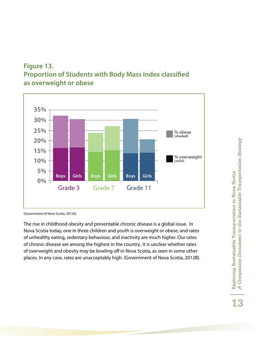



<sup>(</sup>Government of Nova Scotia, 2012A)

The rise in childhood obesity and preventable chronic disease is a global issue. In Nova Scotia today, one in three children and youth is overweight or obese, and rates of unhealthy eating, sedentary behaviour, and inactivity are much higher. Our rates of chronic disease are among the highest in the country. It is unclear whether rates of chronic disease are among the highest in the country. It is unclear whether rates of overweight and obesity may be leveling off in Nova Scotia, as seen in some other places. In any case, rates are unacceptably high. (Government of Nova Scotia, 2012B). und controlled usease are arriving the nighest i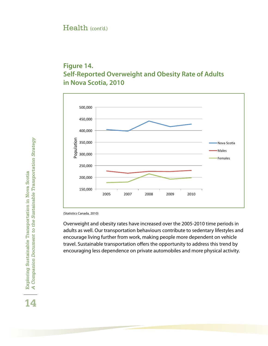#### Health (cont'd.)

#### **Figure 14. Self-Reported Overweight and Obesity Rate of Adults Figure 14.1 Self-Contract 2010**



(Statistics Canada, 2010)

Overweight and obesity rates have increased over the 2005-2010 time periods in adults as well. Our transportation behaviours contribute to sedentary lifestyles and encourage living further from work, making people more dependent on vehicle travel. Sustainable transportation offers the opportunity to address this trend by encouraging less dependence on private automobiles and more physical activity. encourage inving further from work, making people more dependent on venicle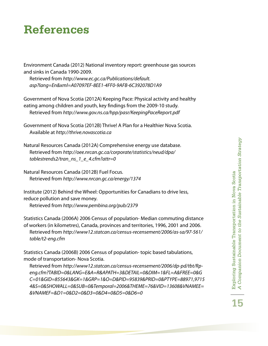### **References**

Environment Canada (2012) National inventory report: greenhouse gas sources and sinks in Canada 1990-2009.

Retrieved from *http://www.ec.gc.ca/Publications/default. asp?lang=En&xml=A07097EF-8EE1-4FF0-9AFB-6C392078D1A9*

Government of Nova Scotia (2012A) Keeping Pace: Physical activity and healthy eating among children and youth, key findings from the 2009-10 study. Retrieved from *http://www.gov.ns.ca/hpp/pasr/KeepingPaceReport.pdf*

Government of Nova Scotia (2012B) Thrive! A Plan for a Healthier Nova Scotia. Available at *http://thrive.novascotia.ca*

Natural Resources Canada (2012A) Comprehensive energy use database. Retrieved from *http://oee.nrcan.gc.ca/corporate/statistics/neud/dpa/ tablestrends2/tran\_ns\_1\_e\_4.cfm?attr=0*

Natural Resources Canada (2012B) Fuel Focus. Retrieved from *http://www.nrcan.gc.ca/energy/1374*

Institute (2012) Behind the Wheel: Opportunities for Canadians to drive less, reduce pollution and save money.

Retrieved from *http://www.pembina.org/pub/2379*

Statistics Canada (2006A) 2006 Census of population- Median commuting distance of workers (in kilometres), Canada, provinces and territories, 1996, 2001 and 2006. Retrieved from *http://www12.statcan.ca/census-recensement/2006/as-sa/97-561/ table/t2-eng.cfm*

Statistics Canada (2006B) 2006 Census of population- topic based tabulations, mode of transportation- Nova Scotia.

Retrieved from *http://www12.statcan.ca/census-recensement/2006/dp-pd/tbt/Rpeng.cfm?TABID=0&LANG=E&A=R&APATH=3&DETAIL=0&DIM=1&FL=A&FREE=0&G C=01&GID=855643&GK=1&GRP=1&O=D&PID=95839&PRID=0&PTYPE=88971,9715 4&S=0&SHOWALL=0&SUB=0&Temporal=2006&THEME=76&VID=13608&VNAMEE= &VNAMEF=&D1=0&D2=0&D3=0&D4=0&D5=0&D6=0*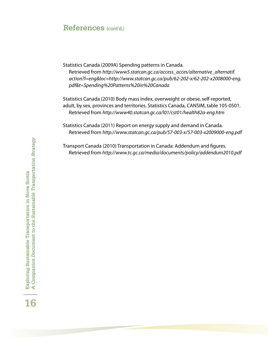#### References (cont'd.)

Statistics Canada (2009A) Spending patterns in Canada. Retrieved from *http://www5.statcan.gc.ca/access\_acces/alternative\_alternatif. action?l=eng&loc=http://www.statcan.gc.ca/pub/62-202-x/62-202-x2008000-eng. pdf&t=Spending%20Patterns%20in%20Canada*

Statistics Canada (2010) Body mass index, overweight or obese, self-reported, adult, by sex, provinces and territories. Statistics Canada, CANSIM, table 105-0501 . Retrieved from *http://www40.statcan.gc.ca/l01/cst01/health82a-eng.htm*

Statistics Canada (2011) Report on energy supply and demand in Canada. Retrieved from *http://www.statcan.gc.ca/pub/57-003-x/57-003-x2009000-eng.pdf*

Transport Canada (2010) Transportation in Canada: Addendum and figures. Retrieved from *http://www.tc.gc.ca/media/documents/policy/addendum2010.pdf*